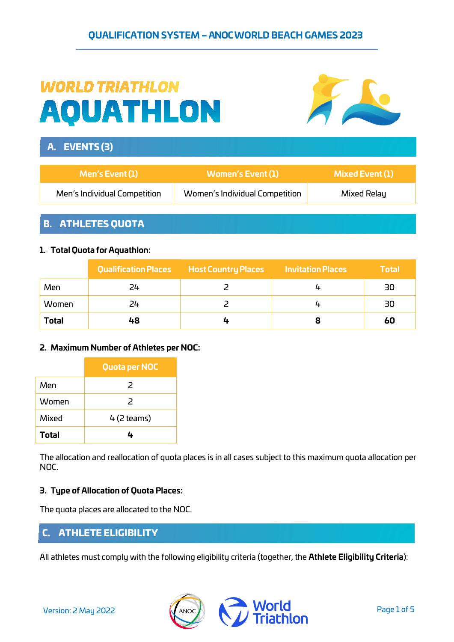# **WORLD TRIATHLON AQUATHLON**



# A. EVENTS (3)

| Men's Event (1)              | Women's Event (1)              | Mixed Event (1) |
|------------------------------|--------------------------------|-----------------|
| Men's Individual Competition | Women's Individual Competition | Mixed Relay     |

## B. ATHLETES QUOTA

## **1. Total Quota for Aquathlon:**

|              |    | Qualification Places Host Country Places | <b>Invitation Places</b> | <b>Total</b> |
|--------------|----|------------------------------------------|--------------------------|--------------|
| Men          | 24 |                                          |                          | 30           |
| Women        | 24 |                                          |                          | 30           |
| <b>Total</b> | 48 |                                          |                          | 60           |

## **2. Maximum Number of Athletes per NOC:**

|              | <b>Quota per NOC</b>     |
|--------------|--------------------------|
| Men          | $\overline{\phantom{1}}$ |
| Women        | $\mathcal{P}$            |
| Mixed        | $4(2$ teams)             |
| <b>Total</b> | 4                        |

The allocation and reallocation of quota places is in all cases subject to this maximum quota allocation per NOC.

## **3. Type of Allocation of Quota Places:**

The quota places are allocated to the NOC.

## C. ATHLETE ELIGIBILITY

All athletes must comply with the following eligibility criteria (together, the **Athlete Eligibility Criteria**):

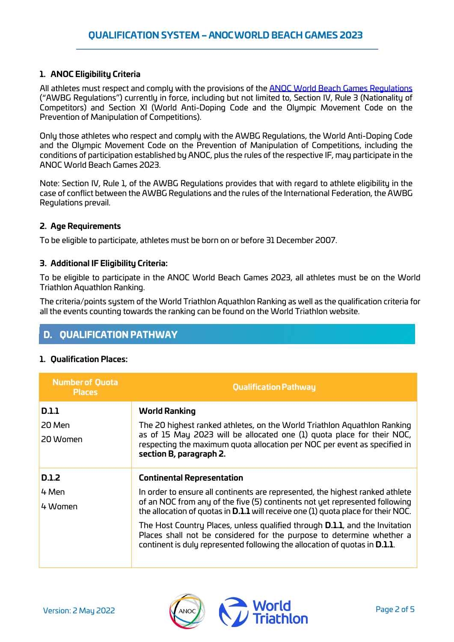## **1. ANOC Eligibility Criteria**

All athletes must respect and comply with the provisions of the **ANOC World Beach Games Regulations** ("AWBG Regulations") currently in force, including but not limited to, Section IV, Rule 3 (Nationality of Competitors) and Section XI (World Anti-Doping Code and the Olympic Movement Code on the Prevention of Manipulation of Competitions).

Only those athletes who respect and comply with the AWBG Regulations, the World Anti-Doping Code and the Olympic Movement Code on the Prevention of Manipulation of Competitions, including the conditions of participation established by ANOC, plus the rules of the respective IF, may participate in the ANOC World Beach Games 2023.

Note: Section IV, Rule 1, of the AWBG Regulations provides that with regard to athlete eligibility in the case of conflict between the AWBG Regulations and the rules of the International Federation, the AWBG Regulations prevail.

## **2. Age Requirements**

To be eligible to participate, athletes must be born on or before 31 December 2007.

#### **3. Additional IF Eligibility Criteria:**

To be eligible to participate in the ANOC World Beach Games 2023, all athletes must be on the World Triathlon Aquathlon Ranking.

The criteria/points system of the World Triathlon Aquathlon Ranking as well as the qualification criteria for all the events counting towards the ranking can be found on the World Triathlon website.

# D. QUALIFICATION PATHWAY

## **1. Qualification Places:**

| <b>Number of Quota</b><br><b>Places</b> | <b>Qualification Pathway</b>                                                                                                                                                                                                                       |
|-----------------------------------------|----------------------------------------------------------------------------------------------------------------------------------------------------------------------------------------------------------------------------------------------------|
| <b>D.1.1</b>                            | <b>World Ranking</b>                                                                                                                                                                                                                               |
| 20 Men                                  | The 20 highest ranked athletes, on the World Triathlon Aquathlon Ranking                                                                                                                                                                           |
| 20 Women                                | as of 15 May 2023 will be allocated one (1) guota place for their NOC,<br>respecting the maximum quota allocation per NOC per event as specified in<br>section B, paragraph 2.                                                                     |
| <b>D.1.2</b>                            | <b>Continental Representation</b>                                                                                                                                                                                                                  |
| 4 Men                                   | In order to ensure all continents are represented, the highest ranked athlete                                                                                                                                                                      |
| 4 Women                                 | of an NOC from any of the five (5) continents not yet represented following<br>the allocation of quotas in <b>D.1.1</b> will receive one (1) quota place for their NOC.                                                                            |
|                                         | The Host Country Places, unless qualified through <b>D.1.1</b> , and the Invitation<br>Places shall not be considered for the purpose to determine whether a<br>continent is duly represented following the allocation of quotas in <b>D.1.1</b> . |

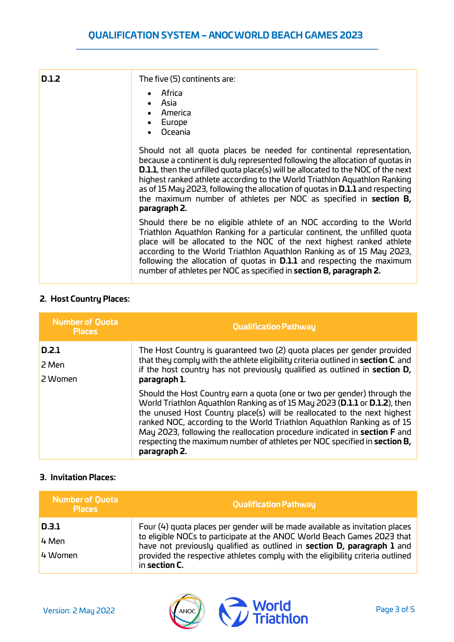| D.1.2 | The five (5) continents are:                                                                                                                                                                                                                                                                                                                                                                                                                                                                                 |
|-------|--------------------------------------------------------------------------------------------------------------------------------------------------------------------------------------------------------------------------------------------------------------------------------------------------------------------------------------------------------------------------------------------------------------------------------------------------------------------------------------------------------------|
|       | Africa<br>Asia<br>America<br>Europe<br>Oceania                                                                                                                                                                                                                                                                                                                                                                                                                                                               |
|       | Should not all quota places be needed for continental representation,<br>because a continent is duly represented following the allocation of quotas in<br><b>D.1.1</b> , then the unfilled quota place(s) will be allocated to the NOC of the next<br>highest ranked athlete according to the World Triathlon Aquathlon Ranking<br>as of 15 May 2023, following the allocation of guotas in <b>D.1.1</b> and respecting<br>the maximum number of athletes per NOC as specified in section B,<br>paragraph 2. |
|       | Should there be no eligible athlete of an NOC according to the World<br>Triathlon Aquathlon Ranking for a particular continent, the unfilled quota<br>place will be allocated to the NOC of the next highest ranked athlete<br>according to the World Triathlon Aquathlon Ranking as of 15 May 2023,<br>following the allocation of quotas in <b>D.1.1</b> and respecting the maximum<br>number of athletes per NOC as specified in section B, paragraph 2.                                                  |

## **2. Host Country Places:**

| <b>Number of Quota</b><br><b>Places</b> | <b>Qualification Pathway</b>                                                                                                                                                                                                                                                                                                                                                                                                                                                            |
|-----------------------------------------|-----------------------------------------------------------------------------------------------------------------------------------------------------------------------------------------------------------------------------------------------------------------------------------------------------------------------------------------------------------------------------------------------------------------------------------------------------------------------------------------|
| D.2.1<br>2 Men<br>2 Women               | The Host Country is quaranteed two (2) quota places per gender provided<br>that they comply with the athlete eligibility criteria outlined in section C. and<br>if the host country has not previously qualified as outlined in section D,<br>paragraph 1.                                                                                                                                                                                                                              |
|                                         | Should the Host Country earn a guota (one or two per gender) through the<br>World Triathlon Aquathlon Ranking as of 15 May 2023 (D.1.1 or D.1.2), then<br>the unused Host Country place(s) will be reallocated to the next highest<br>ranked NOC, according to the World Triathlon Aquathlon Ranking as of 15<br>May 2023, following the reallocation procedure indicated in section F and<br>respecting the maximum number of athletes per NOC specified in section B,<br>paragraph 2. |

## **3. Invitation Places:**

| <b>Number of Quota</b><br><b>Places</b> | <b>Qualification Pathway</b>                                                                                                                                                                                                                          |
|-----------------------------------------|-------------------------------------------------------------------------------------------------------------------------------------------------------------------------------------------------------------------------------------------------------|
| D.3.1                                   | Four (4) quota places per gender will be made available as invitation places                                                                                                                                                                          |
| 4 Men                                   | to eligible NOCs to participate at the ANOC World Beach Games 2023 that<br>have not previously qualified as outlined in section D, paragraph 1 and<br>provided the respective athletes comply with the eligibility criteria outlined<br>in section C. |
| 4 Women                                 |                                                                                                                                                                                                                                                       |

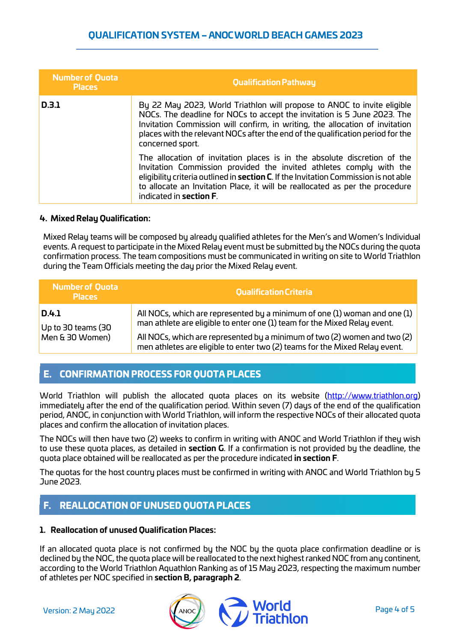## **QUALIFICATION SYSTEM – ANOC WORLD BEACH GAMES 2023**

| <b>Number of Quota</b><br><b>Places</b> | <b>Qualification Pathway</b>                                                                                                                                                                                                                                                                                                                               |
|-----------------------------------------|------------------------------------------------------------------------------------------------------------------------------------------------------------------------------------------------------------------------------------------------------------------------------------------------------------------------------------------------------------|
| D.3.1                                   | By 22 May 2023, World Triathlon will propose to ANOC to invite eligible<br>NOCs. The deadline for NOCs to accept the invitation is 5 June 2023. The<br>Invitation Commission will confirm, in writing, the allocation of invitation<br>places with the relevant NOCs after the end of the qualification period for the<br>concerned sport.                 |
|                                         | The allocation of invitation places is in the absolute discretion of the<br>Invitation Commission provided the invited athletes comply with the<br>eligibility criteria outlined in section C. If the Invitation Commission is not able<br>to allocate an Invitation Place, it will be reallocated as per the procedure<br>indicated in <b>section F</b> . |

#### **4. Mixed Relay Qualification:**

Mixed Relay teams will be composed by already qualified athletes for the Men's and Women's Individual events. A request to participate in the Mixed Relay event must be submitted by the NOCs during the quota confirmation process. The team compositions must be communicated in writing on site to World Triathlon during the Team Officials meeting the day prior the Mixed Relay event.

| <b>Number of Quota</b><br><b>Places</b> | <b>Qualification Criteria</b>                                                                                                                            |
|-----------------------------------------|----------------------------------------------------------------------------------------------------------------------------------------------------------|
| D.4.1<br>Up to 30 teams (30             | All NOCs, which are represented by a minimum of one (1) woman and one (1)<br>man athlete are eligible to enter one (1) team for the Mixed Relay event.   |
| Men & 30 Women)                         | All NOCs, which are represented by a minimum of two (2) women and two (2)<br>men athletes are eligible to enter two (2) teams for the Mixed Relay event. |

## E. CONFIRMATION PROCESS FOR QUOTA PLACES

World Triathlon will publish the allocated quota places on its website [\(http://www.triathlon.org\)](http://www.triathlon.org/results) immediately after the end of the qualification period. Within seven (7) days of the end of the qualification period, ANOC, in conjunction with World Triathlon, will inform the respective NOCs of their allocated quota places and confirm the allocation of invitation places.

The NOCs will then have two (2) weeks to confirm in writing with ANOC and World Triathlon if they wish to use these quota places, as detailed in **section G**. If a confirmation is not provided by the deadline, the quota place obtained will be reallocated as per the procedure indicated **in section F**.

The quotas for the host country places must be confirmed in writing with ANOC and World Triathlon by 5 June 2023.

# F. REALLOCATION OF UNUSED QUOTA PLACES

#### **1. Reallocation of unused Qualification Places:**

If an allocated quota place is not confirmed by the NOC by the quota place confirmation deadline or is declined by the NOC, the quota place will be reallocated to the next highestranked NOC from any continent, according to the World Triathlon Aquathlon Ranking as of 15 May 2023, respecting the maximum number of athletes per NOC specified in **section B, paragraph 2**.